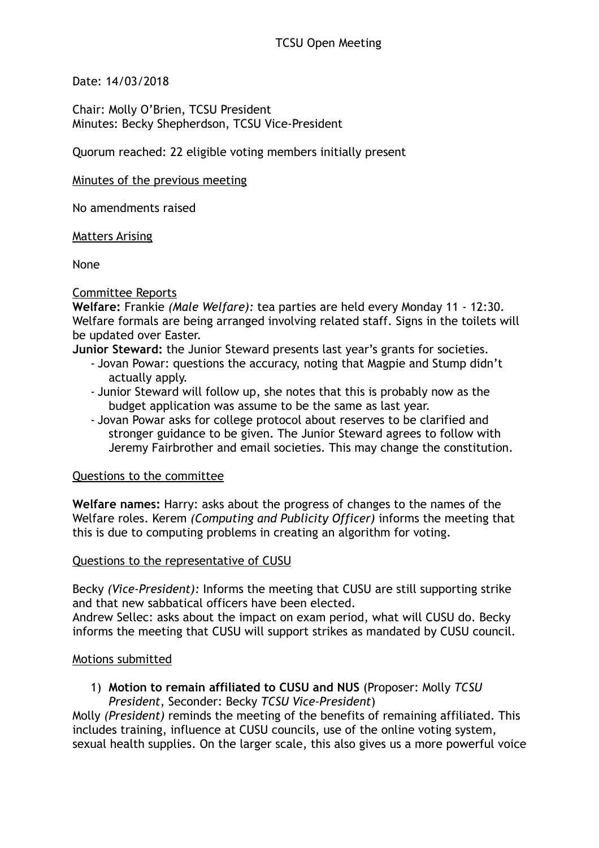Date: 14/03/2018

Chair: Molly O'Brien, TCSU President Minutes: Becky Shepherdson, TCSU Vice-President

Quorum reached: 22 eligible voting members initially present

#### Minutes of the previous meeting

No amendments raised

Matters Arising

None

## Committee Reports

**Welfare:** Frankie *(Male Welfare):* tea parties are held every Monday 11 - 12:30. Welfare formals are being arranged involving related staff. Signs in the toilets will be updated over Easter.

**Junior Steward:** the Junior Steward presents last year's grants for societies.

- Jovan Powar: questions the accuracy, noting that Magpie and Stump didn't actually apply.
- Junior Steward will follow up, she notes that this is probably now as the budget application was assume to be the same as last year.
- Jovan Powar asks for college protocol about reserves to be clarified and stronger guidance to be given. The Junior Steward agrees to follow with Jeremy Fairbrother and email societies. This may change the constitution.

## Questions to the committee

**Welfare names:** Harry: asks about the progress of changes to the names of the Welfare roles. Kerem *(Computing and Publicity Officer)* informs the meeting that this is due to computing problems in creating an algorithm for voting.

## Questions to the representative of CUSU

Becky *(Vice-President):* Informs the meeting that CUSU are still supporting strike and that new sabbatical officers have been elected.

Andrew Sellec: asks about the impact on exam period, what will CUSU do. Becky informs the meeting that CUSU will support strikes as mandated by CUSU council.

## Motions submitted

1) **Motion to remain affiliated to CUSU and NUS** (Proposer: Molly *TCSU President*, Seconder: Becky *TCSU Vice-President*)

Molly *(President)* reminds the meeting of the benefits of remaining affiliated. This includes training, influence at CUSU councils, use of the online voting system, sexual health supplies. On the larger scale, this also gives us a more powerful voice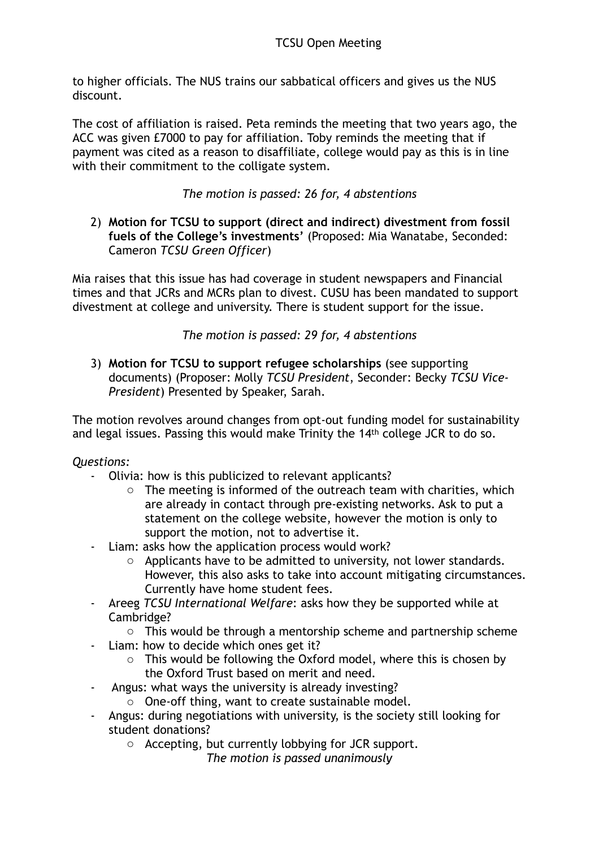to higher officials. The NUS trains our sabbatical officers and gives us the NUS discount.

The cost of affiliation is raised. Peta reminds the meeting that two years ago, the ACC was given £7000 to pay for affiliation. Toby reminds the meeting that if payment was cited as a reason to disaffiliate, college would pay as this is in line with their commitment to the colligate system.

# *The motion is passed: 26 for, 4 abstentions*

2) **Motion for TCSU to support (direct and indirect) divestment from fossil fuels of the College's investments'** (Proposed: Mia Wanatabe, Seconded: Cameron *TCSU Green Officer*)

Mia raises that this issue has had coverage in student newspapers and Financial times and that JCRs and MCRs plan to divest. CUSU has been mandated to support divestment at college and university. There is student support for the issue.

*The motion is passed: 29 for, 4 abstentions*

3) **Motion for TCSU to support refugee scholarships** (see supporting documents) (Proposer: Molly *TCSU President*, Seconder: Becky *TCSU Vice-President*) Presented by Speaker, Sarah.

The motion revolves around changes from opt-out funding model for sustainability and legal issues. Passing this would make Trinity the 14th college JCR to do so.

## *Questions:*

- Olivia: how is this publicized to relevant applicants?
	- o The meeting is informed of the outreach team with charities, which are already in contact through pre-existing networks. Ask to put a statement on the college website, however the motion is only to support the motion, not to advertise it.
- Liam: asks how the application process would work?
	- o Applicants have to be admitted to university, not lower standards. However, this also asks to take into account mitigating circumstances. Currently have home student fees.
- Areeg *TCSU International Welfare*: asks how they be supported while at Cambridge?
	- $\circ$  This would be through a mentorship scheme and partnership scheme
- Liam: how to decide which ones get it?
	- o This would be following the Oxford model, where this is chosen by the Oxford Trust based on merit and need.
- Angus: what ways the university is already investing?
	- o One-off thing, want to create sustainable model.
- Angus: during negotiations with university, is the society still looking for student donations?
	- o Accepting, but currently lobbying for JCR support.
		- *The motion is passed unanimously*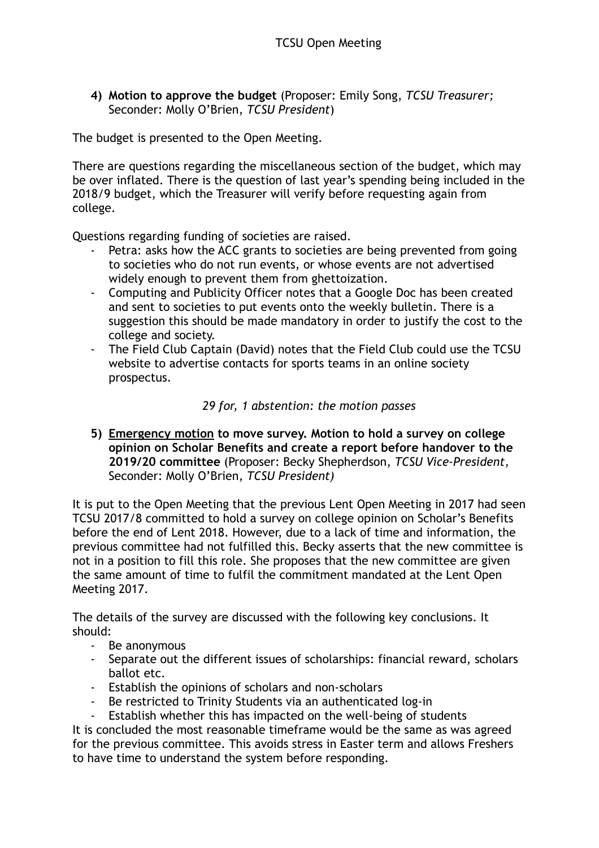**4) Motion to approve the budget** (Proposer: Emily Song, *TCSU Treasurer;*  Seconder: Molly O'Brien, *TCSU President*)

The budget is presented to the Open Meeting.

There are questions regarding the miscellaneous section of the budget, which may be over inflated. There is the question of last year's spending being included in the 2018/9 budget, which the Treasurer will verify before requesting again from college.

Questions regarding funding of societies are raised.

- Petra: asks how the ACC grants to societies are being prevented from going to societies who do not run events, or whose events are not advertised widely enough to prevent them from ghettoization.
- Computing and Publicity Officer notes that a Google Doc has been created and sent to societies to put events onto the weekly bulletin. There is a suggestion this should be made mandatory in order to justify the cost to the college and society.
- The Field Club Captain (David) notes that the Field Club could use the TCSU website to advertise contacts for sports teams in an online society prospectus.

## *29 for, 1 abstention: the motion passes*

**5) Emergency motion to move survey. Motion to hold a survey on college opinion on Scholar Benefits and create a report before handover to the 2019/20 committee** (Proposer: Becky Shepherdson, *TCSU Vice-President,*  Seconder: Molly O'Brien, *TCSU President)* 

It is put to the Open Meeting that the previous Lent Open Meeting in 2017 had seen TCSU 2017/8 committed to hold a survey on college opinion on Scholar's Benefits before the end of Lent 2018. However, due to a lack of time and information, the previous committee had not fulfilled this. Becky asserts that the new committee is not in a position to fill this role. She proposes that the new committee are given the same amount of time to fulfil the commitment mandated at the Lent Open Meeting 2017.

The details of the survey are discussed with the following key conclusions. It should:

- Be anonymous
- Separate out the different issues of scholarships: financial reward, scholars ballot etc.
- Establish the opinions of scholars and non-scholars
- Be restricted to Trinity Students via an authenticated log-in
- Establish whether this has impacted on the well-being of students

It is concluded the most reasonable timeframe would be the same as was agreed for the previous committee. This avoids stress in Easter term and allows Freshers to have time to understand the system before responding.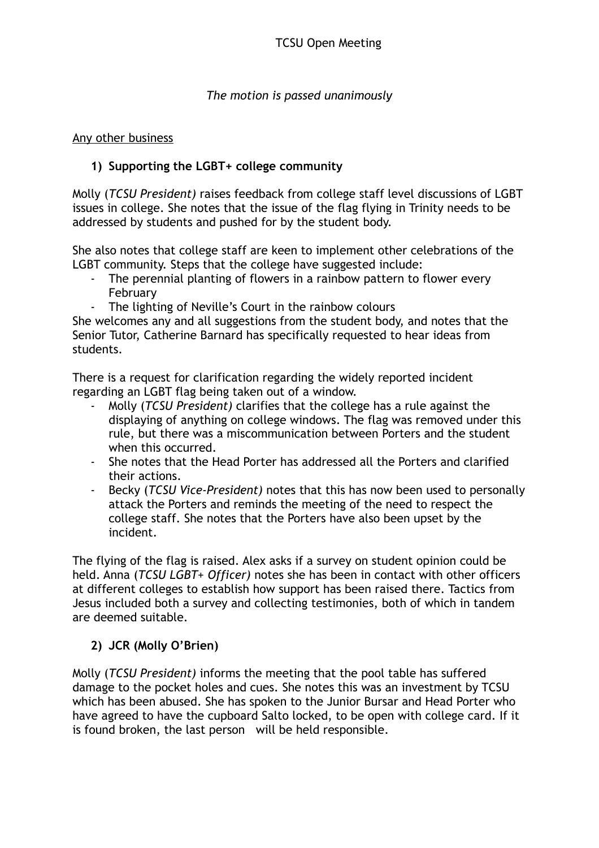## *The motion is passed unanimously*

### Any other business

# **1) Supporting the LGBT+ college community**

Molly (*TCSU President)* raises feedback from college staff level discussions of LGBT issues in college. She notes that the issue of the flag flying in Trinity needs to be addressed by students and pushed for by the student body.

She also notes that college staff are keen to implement other celebrations of the LGBT community. Steps that the college have suggested include:

- The perennial planting of flowers in a rainbow pattern to flower every February
- The lighting of Neville's Court in the rainbow colours

She welcomes any and all suggestions from the student body, and notes that the Senior Tutor, Catherine Barnard has specifically requested to hear ideas from students.

There is a request for clarification regarding the widely reported incident regarding an LGBT flag being taken out of a window.

- Molly (*TCSU President)* clarifies that the college has a rule against the displaying of anything on college windows. The flag was removed under this rule, but there was a miscommunication between Porters and the student when this occurred.
- She notes that the Head Porter has addressed all the Porters and clarified their actions.
- Becky (*TCSU Vice-President)* notes that this has now been used to personally attack the Porters and reminds the meeting of the need to respect the college staff. She notes that the Porters have also been upset by the incident.

The flying of the flag is raised. Alex asks if a survey on student opinion could be held. Anna (*TCSU LGBT+ Officer)* notes she has been in contact with other officers at different colleges to establish how support has been raised there. Tactics from Jesus included both a survey and collecting testimonies, both of which in tandem are deemed suitable.

## **2) JCR (Molly O'Brien)**

Molly (*TCSU President)* informs the meeting that the pool table has suffered damage to the pocket holes and cues. She notes this was an investment by TCSU which has been abused. She has spoken to the Junior Bursar and Head Porter who have agreed to have the cupboard Salto locked, to be open with college card. If it is found broken, the last person will be held responsible.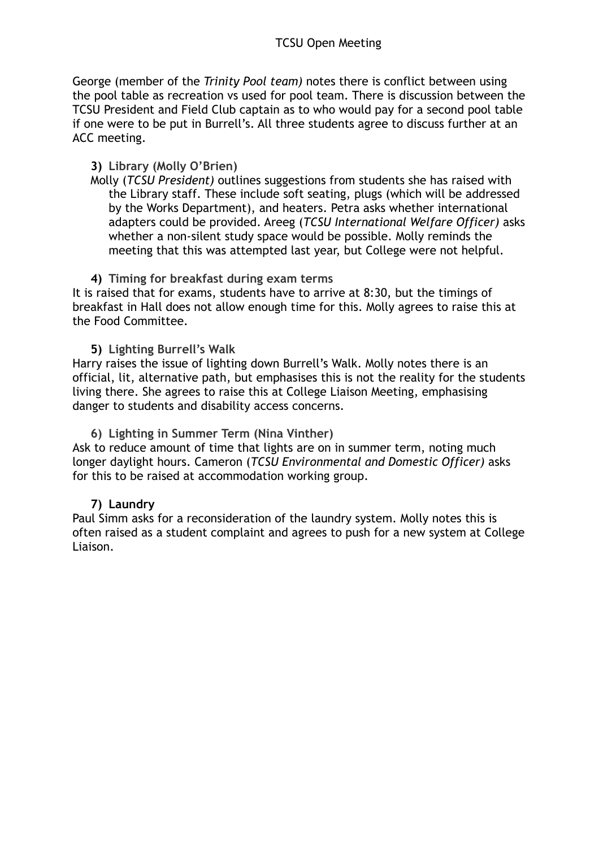George (member of the *Trinity Pool team)* notes there is conflict between using the pool table as recreation vs used for pool team. There is discussion between the TCSU President and Field Club captain as to who would pay for a second pool table if one were to be put in Burrell's. All three students agree to discuss further at an ACC meeting.

### **3) Library (Molly O'Brien)**

Molly (*TCSU President)* outlines suggestions from students she has raised with the Library staff. These include soft seating, plugs (which will be addressed by the Works Department), and heaters. Petra asks whether international adapters could be provided. Areeg (*TCSU International Welfare Officer)* asks whether a non-silent study space would be possible. Molly reminds the meeting that this was attempted last year, but College were not helpful.

## **4) Timing for breakfast during exam terms**

It is raised that for exams, students have to arrive at 8:30, but the timings of breakfast in Hall does not allow enough time for this. Molly agrees to raise this at the Food Committee.

**5) Lighting Burrell's Walk**

Harry raises the issue of lighting down Burrell's Walk. Molly notes there is an official, lit, alternative path, but emphasises this is not the reality for the students living there. She agrees to raise this at College Liaison Meeting, emphasising danger to students and disability access concerns.

#### **6) Lighting in Summer Term (Nina Vinther)**

Ask to reduce amount of time that lights are on in summer term, noting much longer daylight hours. Cameron (*TCSU Environmental and Domestic Officer)* asks for this to be raised at accommodation working group.

#### **7) Laundry**

Paul Simm asks for a reconsideration of the laundry system. Molly notes this is often raised as a student complaint and agrees to push for a new system at College Liaison.